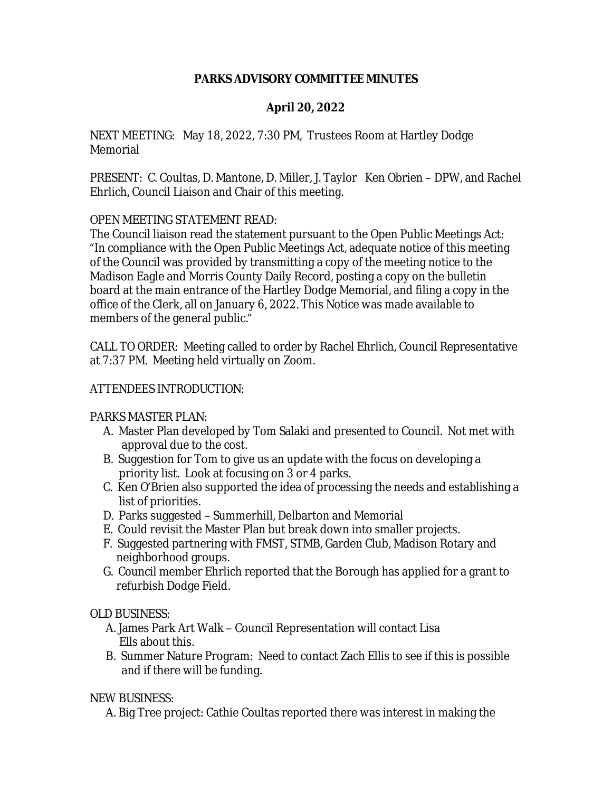### **PARKS ADVISORY COMMITTEE MINUTES**

## **April 20, 2022**

NEXT MEETING: May 18, 2022, 7:30 PM, Trustees Room at Hartley Dodge Memorial

PRESENT: C. Coultas, D. Mantone, D. Miller, J. Taylor Ken Obrien – DPW, and Rachel Ehrlich, Council Liaison and Chair of this meeting.

### OPEN MEETING STATEMENT READ:

The Council liaison read the statement pursuant to the Open Public Meetings Act: "In compliance with the Open Public Meetings Act, adequate notice of this meeting of the Council was provided by transmitting a copy of the meeting notice to the Madison Eagle and Morris County Daily Record, posting a copy on the bulletin board at the main entrance of the Hartley Dodge Memorial, and filing a copy in the office of the Clerk, all on January 6, 2022. This Notice was made available to members of the general public."

CALL TO ORDER: Meeting called to order by Rachel Ehrlich, Council Representative at 7:37 PM. Meeting held virtually on Zoom.

### ATTENDEES INTRODUCTION:

### PARKS MASTER PLAN:

- A. Master Plan developed by Tom Salaki and presented to Council. Not met with approval due to the cost.
- B. Suggestion for Tom to give us an update with the focus on developing a priority list. Look at focusing on 3 or 4 parks.
- C. Ken O'Brien also supported the idea of processing the needs and establishing a list of priorities.
- D. Parks suggested Summerhill, Delbarton and Memorial
- E. Could revisit the Master Plan but break down into smaller projects.
- F. Suggested partnering with FMST, STMB, Garden Club, Madison Rotary and neighborhood groups.
- G. Council member Ehrlich reported that the Borough has applied for a grant to refurbish Dodge Field.

### OLD BUSINESS:

- A. James Park Art Walk Council Representation will contact Lisa Ells about this.
- B. Summer Nature Program: Need to contact Zach Ellis to see if this is possible and if there will be funding.

# NEW BUSINESS:

A. Big Tree project: Cathie Coultas reported there was interest in making the